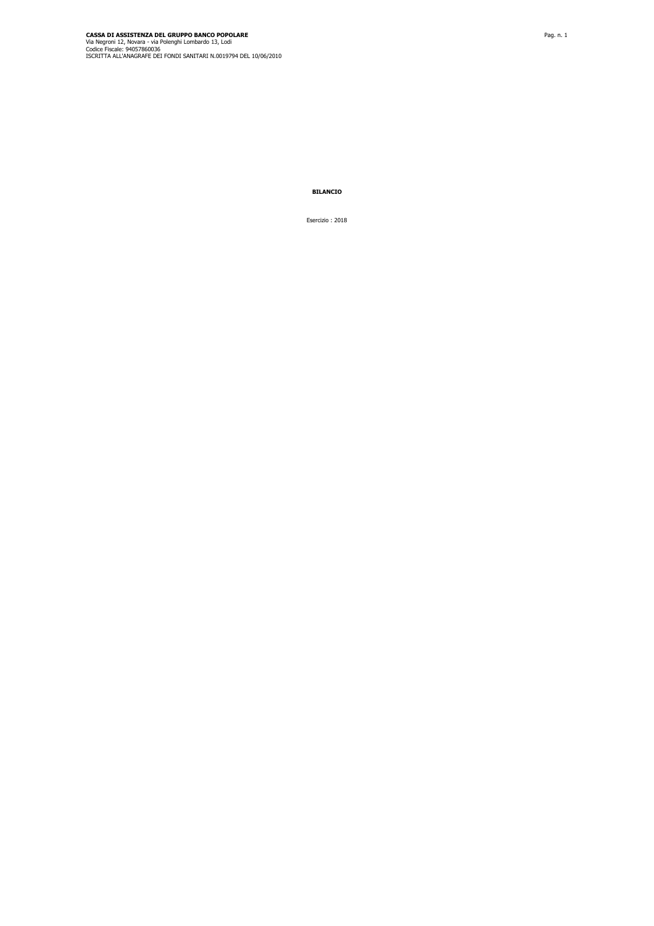**BILANCIO**

Esercizio : 2018